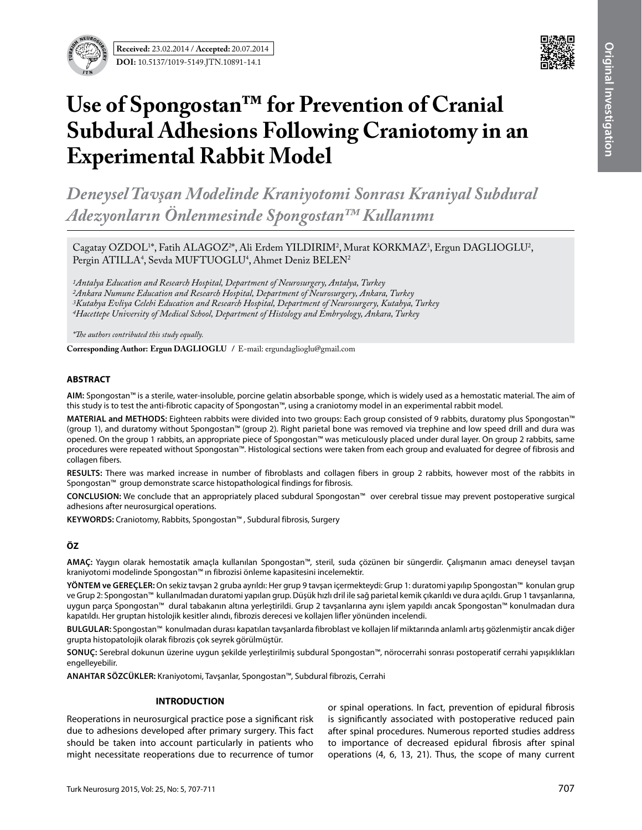



# **Use of Spongostan™ for Prevention of Cranial Subdural Adhesions Following Craniotomy in an Experimental Rabbit Model**

*Deneysel Tavşan Modelinde Kraniyotomi Sonrası Kraniyal Subdural Adezyonların Önlenmesinde Spongostan™ Kullanımı*

Cagatay OZDOL<sup>1\*</sup>, Fatih ALAGOZ<sup>2\*</sup>, Ali Erdem YILDIRIM<sup>2</sup>, Murat KORKMAZ<sup>3</sup>, Ergun DAGLIOGLU<sup>2</sup>, Pergin ATILLA<sup>4</sup>, Sevda MUFTUOGLU<sup>4</sup>, Ahmet Deniz BELEN<sup>2</sup>

*1Antalya Education and Research Hospital, Department of Neurosurgery, Antalya, Turkey 2Ankara Numune Education and Research Hospital, Department of Neurosurgery, Ankara, Turkey 3Kutahya Evliya Celebi Education and Research Hospital, Department of Neurosurgery, Kutahya, Turkey 4Hacettepe University of Medical School, Department of Histology and Embryology, Ankara, Turkey* 

*\*The authors contributed this study equally.*

**Corresponding Author: Ergun DAGLIOGLU /** E-mail: ergundaglioglu@gmail.com

#### **ABSTRACT**

**AIm:** Spongostan™ is a sterile, water-insoluble, porcine gelatin absorbable sponge, which is widely used as a hemostatic material. The aim of this study is to test the anti-fibrotic capacity of Spongostan™, using a craniotomy model in an experimental rabbit model.

**MATERIAL and METHODS:** Eighteen rabbits were divided into two groups: Each group consisted of 9 rabbits, duratomy plus Spongostan™ (group 1), and duratomy without Spongostan™ (group 2). Right parietal bone was removed via trephine and low speed drill and dura was opened. On the group 1 rabbits, an appropriate piece of Spongostan™ was meticulously placed under dural layer. On group 2 rabbits, same procedures were repeated without Spongostan™. Histological sections were taken from each group and evaluated for degree of fibrosis and collagen fibers.

**Results:** There was marked increase in number of fibroblasts and collagen fibers in group 2 rabbits, however most of the rabbits in Spongostan™ group demonstrate scarce histopathological findings for fibrosis.

**ConclusIon:** We conclude that an appropriately placed subdural Spongostan™ over cerebral tissue may prevent postoperative surgical adhesions after neurosurgical operations.

KEYWORDS: Craniotomy, Rabbits, Spongostan™, Subdural fibrosis, Surgery

## **ÖZ**

**AMAÇ:** Yaygın olarak hemostatik amaçla kullanılan Spongostan™, steril, suda çözünen bir süngerdir. Çalışmanın amacı deneysel tavşan kraniyotomi modelinde Spongostan™ ın fibrozisi önleme kapasitesini incelemektir.

**YÖNTEM ve GEREÇLER:** On sekiz tavşan 2 gruba ayrıldı: Her grup 9 tavşan içermekteydi: Grup 1: duratomi yapılıp Spongostan™ konulan grup ve Grup 2: Spongostan™ kullanılmadan duratomi yapılan grup. Düşük hızlı dril ile sağ parietal kemik çıkarıldı ve dura açıldı. Grup 1 tavşanlarına, uygun parça Spongostan™ dural tabakanın altına yerleştirildi. Grup 2 tavşanlarına aynı işlem yapıldı ancak Spongostan™ konulmadan dura kapatıldı. Her gruptan histolojik kesitler alındı, fibrozis derecesi ve kollajen lifler yönünden incelendi.

**BULGULAR:** Spongostan™ konulmadan durası kapatılan tavşanlarda fibroblast ve kollajen lif miktarında anlamlı artış gözlenmiştir ancak diğer grupta histopatolojik olarak fibrozis çok seyrek görülmüştür.

**SONUÇ:** Serebral dokunun üzerine uygun şekilde yerleştirilmiş subdural Spongostan™, nörocerrahi sonrası postoperatif cerrahi yapışıklıkları engelleyebilir.

**ANAHTAR SÖZCÜKLER:** Kraniyotomi, Tavşanlar, Spongostan™, Subdural fibrozis, Cerrahi

#### **INTRODUCTION**

Reoperations in neurosurgical practice pose a significant risk due to adhesions developed after primary surgery. This fact should be taken into account particularly in patients who might necessitate reoperations due to recurrence of tumor

or spinal operations. In fact, prevention of epidural fibrosis is significantly associated with postoperative reduced pain after spinal procedures. Numerous reported studies address to importance of decreased epidural fibrosis after spinal operations (4, 6, 13, 21). Thus, the scope of many current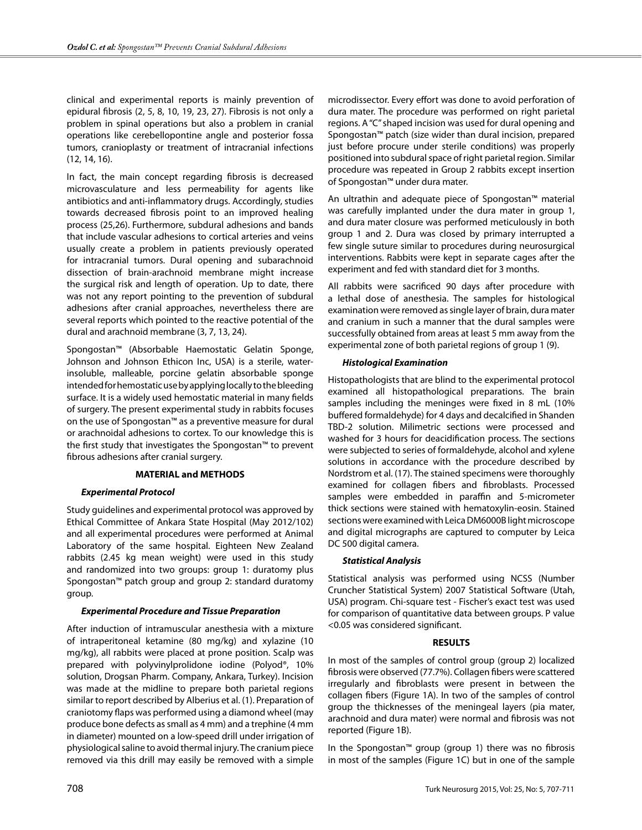clinical and experimental reports is mainly prevention of epidural fibrosis (2, 5, 8, 10, 19, 23, 27). Fibrosis is not only a problem in spinal operations but also a problem in cranial operations like cerebellopontine angle and posterior fossa tumors, cranioplasty or treatment of intracranial infections (12, 14, 16).

In fact, the main concept regarding fibrosis is decreased microvasculature and less permeability for agents like antibiotics and anti-inflammatory drugs. Accordingly, studies towards decreased fibrosis point to an improved healing process (25,26). Furthermore, subdural adhesions and bands that include vascular adhesions to cortical arteries and veins usually create a problem in patients previously operated for intracranial tumors. Dural opening and subarachnoid dissection of brain-arachnoid membrane might increase the surgical risk and length of operation. Up to date, there was not any report pointing to the prevention of subdural adhesions after cranial approaches, nevertheless there are several reports which pointed to the reactive potential of the dural and arachnoid membrane (3, 7, 13, 24).

Spongostan™ (Absorbable Haemostatic Gelatin Sponge, Johnson and Johnson Ethicon Inc, USA) is a sterile, waterinsoluble, malleable, porcine gelatin absorbable sponge intended for hemostatic use by applying locally to the bleeding surface. It is a widely used hemostatic material in many fields of surgery. The present experimental study in rabbits focuses on the use of Spongostan™ as a preventive measure for dural or arachnoidal adhesions to cortex. To our knowledge this is the first study that investigates the Spongostan™ to prevent fibrous adhesions after cranial surgery.

## **MATERIAL and METHODS**

## *Experimental Protocol*

Study guidelines and experimental protocol was approved by Ethical Committee of Ankara State Hospital (May 2012/102) and all experimental procedures were performed at Animal Laboratory of the same hospital. Eighteen New Zealand rabbits (2.45 kg mean weight) were used in this study and randomized into two groups: group 1: duratomy plus Spongostan™ patch group and group 2: standard duratomy group.

#### *Experimental Procedure and Tissue Preparation*

After induction of intramuscular anesthesia with a mixture of intraperitoneal ketamine (80 mg/kg) and xylazine (10 mg/kg), all rabbits were placed at prone position. Scalp was prepared with polyvinylprolidone iodine (Polyod®, 10% solution, Drogsan Pharm. Company, Ankara, Turkey). Incision was made at the midline to prepare both parietal regions similar to report described by Alberius et al. (1). Preparation of craniotomy flaps was performed using a diamond wheel (may produce bone defects as small as 4 mm) and a trephine (4 mm in diameter) mounted on a low-speed drill under irrigation of physiological saline to avoid thermal injury. The cranium piece removed via this drill may easily be removed with a simple

microdissector. Every effort was done to avoid perforation of dura mater. The procedure was performed on right parietal regions. A "C" shaped incision was used for dural opening and Spongostan™ patch (size wider than dural incision, prepared just before procure under sterile conditions) was properly positioned into subdural space of right parietal region. Similar procedure was repeated in Group 2 rabbits except insertion of Spongostan™ under dura mater.

An ultrathin and adequate piece of Spongostan™ material was carefully implanted under the dura mater in group 1, and dura mater closure was performed meticulously in both group 1 and 2. Dura was closed by primary interrupted a few single suture similar to procedures during neurosurgical interventions. Rabbits were kept in separate cages after the experiment and fed with standard diet for 3 months.

All rabbits were sacrificed 90 days after procedure with a lethal dose of anesthesia. The samples for histological examination were removed as single layer of brain, dura mater and cranium in such a manner that the dural samples were successfully obtained from areas at least 5 mm away from the experimental zone of both parietal regions of group 1 (9).

#### *Histological Examination*

Histopathologists that are blind to the experimental protocol examined all histopathological preparations. The brain samples including the meninges were fixed in 8 mL (10% buffered formaldehyde) for 4 days and decalcified in Shanden TBD-2 solution. Milimetric sections were processed and washed for 3 hours for deacidification process. The sections were subjected to series of formaldehyde, alcohol and xylene solutions in accordance with the procedure described by Nordstrom et al. (17). The stained specimens were thoroughly examined for collagen fibers and fibroblasts. Processed samples were embedded in paraffin and 5-micrometer thick sections were stained with hematoxylin-eosin. Stained sections were examined with Leica DM6000B light microscope and digital micrographs are captured to computer by Leica DC 500 digital camera.

## *Statistical Analysis*

Statistical analysis was performed using NCSS (Number Cruncher Statistical System) 2007 Statistical Software (Utah, USA) program. Chi-square test - Fischer's exact test was used for comparison of quantitative data between groups. P value <0.05 was considered significant.

## **RESULTS**

In most of the samples of control group (group 2) localized fibrosis were observed (77.7%). Collagen fibers were scattered irregularly and fibroblasts were present in between the collagen fibers (Figure 1A). In two of the samples of control group the thicknesses of the meningeal layers (pia mater, arachnoid and dura mater) were normal and fibrosis was not reported (Figure 1B).

In the Spongostan™ group (group 1) there was no fibrosis in most of the samples (Figure 1C) but in one of the sample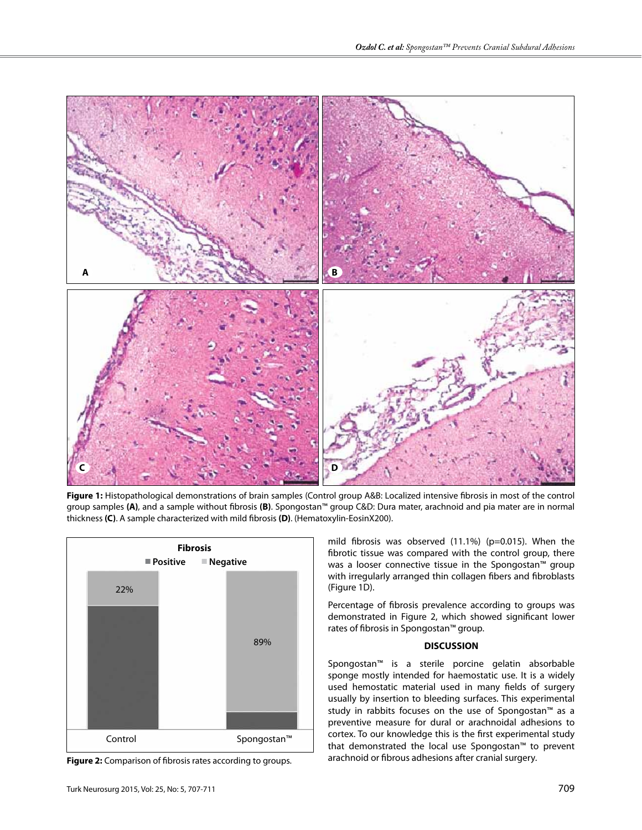

**Figure 1:** Histopathological demonstrations of brain samples (Control group A&B: Localized intensive fibrosis in most of the control group samples **(A)**, and a sample without fibrosis **(B)**. Spongostan™ group C&D: Dura mater, arachnoid and pia mater are in normal thickness **(C)**. A sample characterized with mild fibrosis **(D)**. (Hematoxylin-EosinX200).



**Figure 2:** Comparison of fibrosis rates according to groups.

mild fibrosis was observed (11.1%) (p=0.015). When the fibrotic tissue was compared with the control group, there was a looser connective tissue in the Spongostan™ group with irregularly arranged thin collagen fibers and fibroblasts (Figure 1D).

Percentage of fibrosis prevalence according to groups was demonstrated in Figure 2, which showed significant lower rates of fibrosis in Spongostan™ group.

## **DISCUSSION**

Spongostan™ is a sterile porcine gelatin absorbable sponge mostly intended for haemostatic use. It is a widely used hemostatic material used in many fields of surgery usually by insertion to bleeding surfaces. This experimental study in rabbits focuses on the use of Spongostan™ as a preventive measure for dural or arachnoidal adhesions to cortex. To our knowledge this is the first experimental study that demonstrated the local use Spongostan™ to prevent arachnoid or fibrous adhesions after cranial surgery.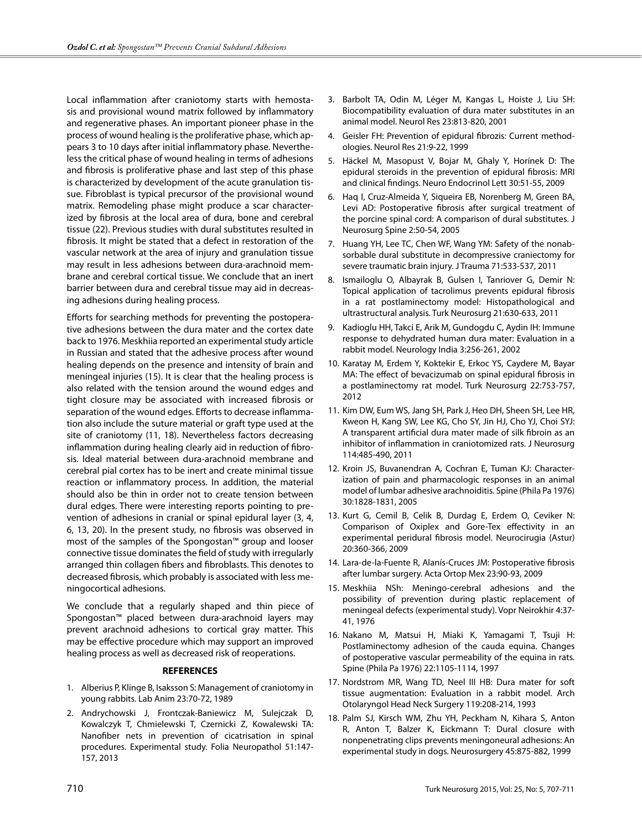Local inflammation after craniotomy starts with hemostasis and provisional wound matrix followed by inflammatory and regenerative phases. An important pioneer phase in the process of wound healing is the proliferative phase, which appears 3 to 10 days after initial inflammatory phase. Nevertheless the critical phase of wound healing in terms of adhesions and fibrosis is proliferative phase and last step of this phase is characterized by development of the acute granulation tissue. Fibroblast is typical precursor of the provisional wound matrix. Remodeling phase might produce a scar characterized by fibrosis at the local area of dura, bone and cerebral tissue (22). Previous studies with dural substitutes resulted in fibrosis. It might be stated that a defect in restoration of the vascular network at the area of injury and granulation tissue may result in less adhesions between dura-arachnoid membrane and cerebral cortical tissue. We conclude that an inert barrier between dura and cerebral tissue may aid in decreasing adhesions during healing process.

Efforts for searching methods for preventing the postoperative adhesions between the dura mater and the cortex date back to 1976. Meskhiia reported an experimental study article in Russian and stated that the adhesive process after wound healing depends on the presence and intensity of brain and meningeal injuries (15). It is clear that the healing process is also related with the tension around the wound edges and tight closure may be associated with increased fibrosis or separation of the wound edges. Efforts to decrease inflammation also include the suture material or graft type used at the site of craniotomy (11, 18). Nevertheless factors decreasing inflammation during healing clearly aid in reduction of fibrosis. Ideal material between dura-arachnoid membrane and cerebral pial cortex has to be inert and create minimal tissue reaction or inflammatory process. In addition, the material should also be thin in order not to create tension between dural edges. There were interesting reports pointing to prevention of adhesions in cranial or spinal epidural layer (3, 4, 6, 13, 20). In the present study, no fibrosis was observed in most of the samples of the Spongostan™ group and looser connective tissue dominates the field of study with irregularly arranged thin collagen fibers and fibroblasts. This denotes to decreased fibrosis, which probably is associated with less meningocortical adhesions.

We conclude that a regularly shaped and thin piece of Spongostan™ placed between dura-arachnoid layers may prevent arachnoid adhesions to cortical gray matter. This may be effective procedure which may support an improved healing process as well as decreased risk of reoperations.

#### **REFERENCES**

- 1. Alberius P, Klinge B, Isaksson S: Management of craniotomy in young rabbits. Lab Anim 23:70-72, 1989
- 2. Andrychowski J, Frontczak-Baniewicz M, Sulejczak D, Kowalczyk T, Chmielewski T, Czernicki Z, Kowalewski TA: Nanofiber nets in prevention of cicatrisation in spinal procedures. Experimental study. Folia Neuropathol 51:147- 157, 2013
- 3. Barbolt TA, Odin M, Léger M, Kangas L, Hoiste J, Liu SH: Biocompatibility evaluation of dura mater substitutes in an animal model. Neurol Res 23:813-820, 2001
- 4. Geisler FH: Prevention of epidural fibrozis: Current methodologies. Neurol Res 21:9-22, 1999
- 5. Häckel M, Masopust V, Bojar M, Ghaly Y, Horínek D: The epidural steroids in the prevention of epidural fibrosis: MRI and clinical findings. Neuro Endocrinol Lett 30:51-55, 2009
- 6. Haq I, Cruz-Almeida Y, Siqueira EB, Norenberg M, Green BA, Levi AD: Postoperative fibrosis after surgical treatment of the porcine spinal cord: A comparison of dural substitutes. J Neurosurg Spine 2:50-54, 2005
- 7. Huang YH, Lee TC, Chen WF, Wang YM: Safety of the nonabsorbable dural substitute in decompressive craniectomy for severe traumatic brain injury. J Trauma 71:533-537, 2011
- 8. Ismailoglu O, Albayrak B, Gulsen I, Tanriover G, Demir N: Topical application of tacrolimus prevents epidural fibrosis in a rat postlaminectomy model: Histopathological and ultrastructural analysis. Turk Neurosurg 21:630-633, 2011
- 9. Kadioglu HH, Takci E, Arik M, Gundogdu C, Aydin IH: Immune response to dehydrated human dura mater: Evaluation in a rabbit model. Neurology India 3:256-261, 2002
- 10. Karatay M, Erdem Y, Koktekir E, Erkoc YS, Caydere M, Bayar MA: The effect of bevacizumab on spinal epidural fibrosis in a postlaminectomy rat model. Turk Neurosurg 22:753-757, 2012
- 11. Kim DW, Eum WS, Jang SH, Park J, Heo DH, Sheen SH, Lee HR, Kweon H, Kang SW, Lee KG, Cho SY, Jin HJ, Cho YJ, Choi SYJ: A transparent artificial dura mater made of silk fibroin as an inhibitor of inflammation in craniotomized rats. J Neurosurg 114:485-490, 2011
- 12. Kroin JS, Buvanendran A, Cochran E, Tuman KJ: Characterization of pain and pharmacologic responses in an animal model of lumbar adhesive arachnoiditis. Spine (Phila Pa 1976) 30:1828-1831, 2005
- 13. Kurt G, Cemil B, Celik B, Durdag E, Erdem O, Ceviker N: Comparison of Oxiplex and Gore-Tex effectivity in an experimental peridural fibrosis model. Neurocirugia (Astur) 20:360-366, 2009
- 14. Lara-de-la-Fuente R, Alanís-Cruces JM: Postoperative fibrosis after lumbar surgery. Acta Ortop Mex 23:90-93, 2009
- 15. Meskhiia NSh: Meningo-cerebral adhesions and the possibility of prevention during plastic replacement of meningeal defects (experimental study). Vopr Neirokhir 4:37- 41, 1976
- 16. Nakano M, Matsui H, Miaki K, Yamagami T, Tsuji H: Postlaminectomy adhesion of the cauda equina. Changes of postoperative vascular permeability of the equina in rats. Spine (Phila Pa 1976) 22:1105-1114, 1997
- 17. Nordstrom MR, Wang TD, Neel III HB: Dura mater for soft tissue augmentation: Evaluation in a rabbit model. Arch Otolaryngol Head Neck Surgery 119:208-214, 1993
- 18. Palm SJ, Kirsch WM, Zhu YH, Peckham N, Kihara S, Anton R, Anton T, Balzer K, Eickmann T: Dural closure with nonpenetrating clips prevents meningoneural adhesions: An experimental study in dogs. Neurosurgery 45:875-882, 1999